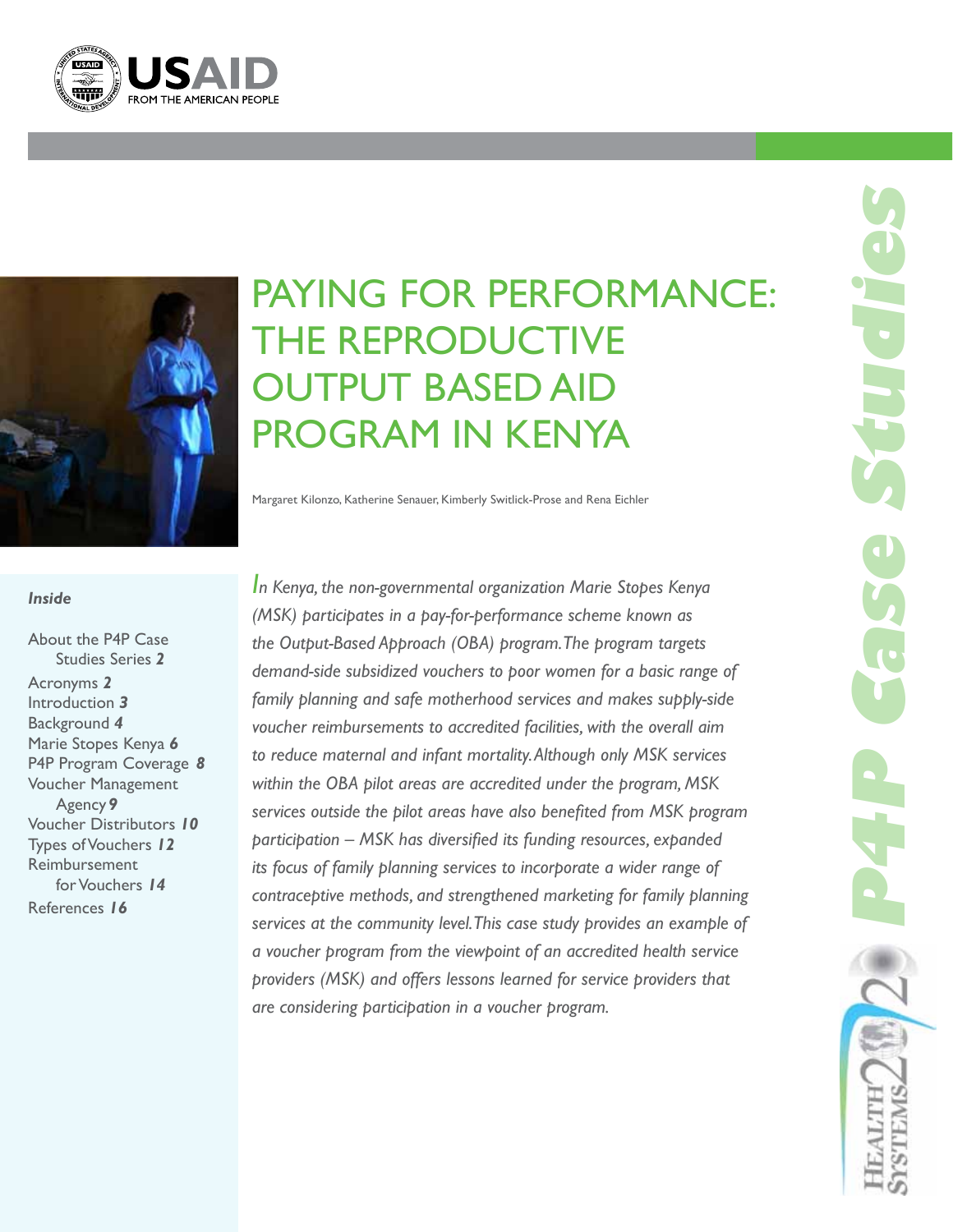



# Paying for Performance: The Reproductive Output Based Aid Program in Kenya

Margaret Kilonzo, Katherine Senauer, Kimberly Switlick-Prose and Rena Eichler

#### *Inside*

About the P4P Case Studies Series *2* Acronyms *2*  Introduction *3* Background *4* Marie Stopes Kenya *6* P4P Program Coverage *8* Voucher Management Agency*9* Voucher Distributors *10* Types of Vouchers *12* Reimbursement for Vouchers *14* References *16*

*In Kenya, the non-governmental organization Marie Stopes Kenya (MSK) participates in a pay-for-performance scheme known as the Output-Based Approach (OBA) program. The program targets demand-side subsidized vouchers to poor women for a basic range of family planning and safe motherhood services and makes supply-side voucher reimbursements to accredited facilities, with the overall aim to reduce maternal and infant mortality. Although only MSK services within the OBA pilot areas are accredited under the program, MSK services outside the pilot areas have also benefited from MSK program participation – MSK has diversified its funding resources, expanded its focus of family planning services to incorporate a wider range of contraceptive methods, and strengthened marketing for family planning services at the community level. This case study provides an example of a voucher program from the viewpoint of an accredited health service providers (MSK) and offers lessons learned for service providers that are considering participation in a voucher program.*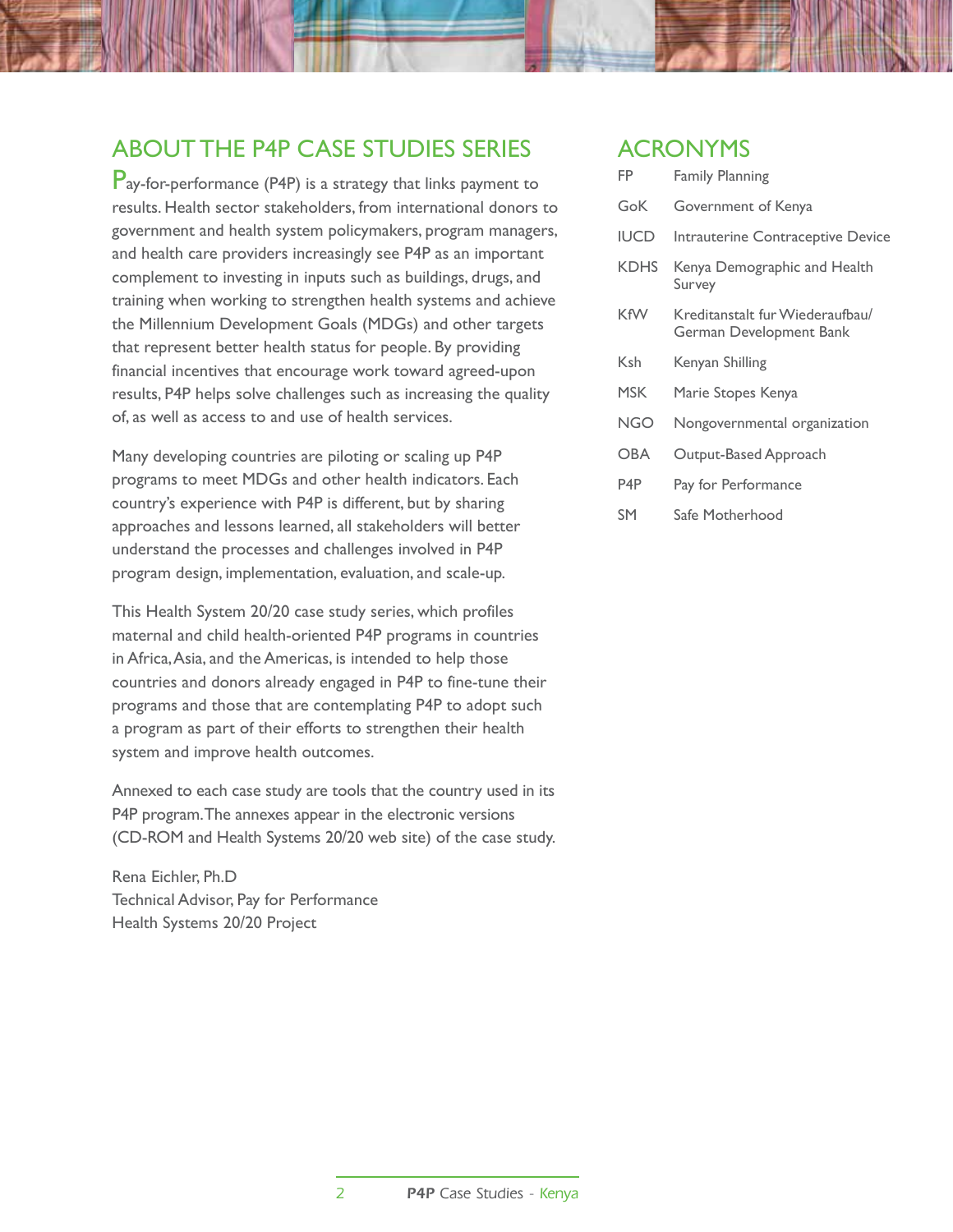### About the P4P Case Studies Series

Pay-for-performance (P4P) is a strategy that links payment to results. Health sector stakeholders, from international donors to government and health system policymakers, program managers, and health care providers increasingly see P4P as an important complement to investing in inputs such as buildings, drugs, and training when working to strengthen health systems and achieve the Millennium Development Goals (MDGs) and other targets that represent better health status for people. By providing financial incentives that encourage work toward agreed-upon results, P4P helps solve challenges such as increasing the quality of, as well as access to and use of health services.

Many developing countries are piloting or scaling up P4P programs to meet MDGs and other health indicators. Each country's experience with P4P is different, but by sharing approaches and lessons learned, all stakeholders will better understand the processes and challenges involved in P4P program design, implementation, evaluation, and scale-up.

This Health System 20/20 case study series, which profiles maternal and child health-oriented P4P programs in countries in Africa, Asia, and the Americas, is intended to help those countries and donors already engaged in P4P to fine-tune their programs and those that are contemplating P4P to adopt such a program as part of their efforts to strengthen their health system and improve health outcomes.

Annexed to each case study are tools that the country used in its P4P program. The annexes appear in the electronic versions (CD-ROM and Health Systems 20/20 web site) of the case study.

Rena Eichler, Ph.D Technical Advisor, Pay for Performance Health Systems 20/20 Project

### **ACRONYMS**

| FP               | <b>Family Planning</b>                                     |
|------------------|------------------------------------------------------------|
| GoK              | Government of Kenya                                        |
| <b>IUCD</b>      | Intrauterine Contraceptive Device                          |
| <b>KDHS</b>      | Kenya Demographic and Health<br>Survey                     |
| <b>KfW</b>       | Kreditanstalt fur Wiederaufbau/<br>German Development Bank |
| Ksh              | Kenyan Shilling                                            |
| <b>MSK</b>       | Marie Stopes Kenya                                         |
| NGO              | Nongovernmental organization                               |
| <b>OBA</b>       | Output-Based Approach                                      |
| P <sub>4</sub> P | Pay for Performance                                        |
| SM               | Safe Motherhood                                            |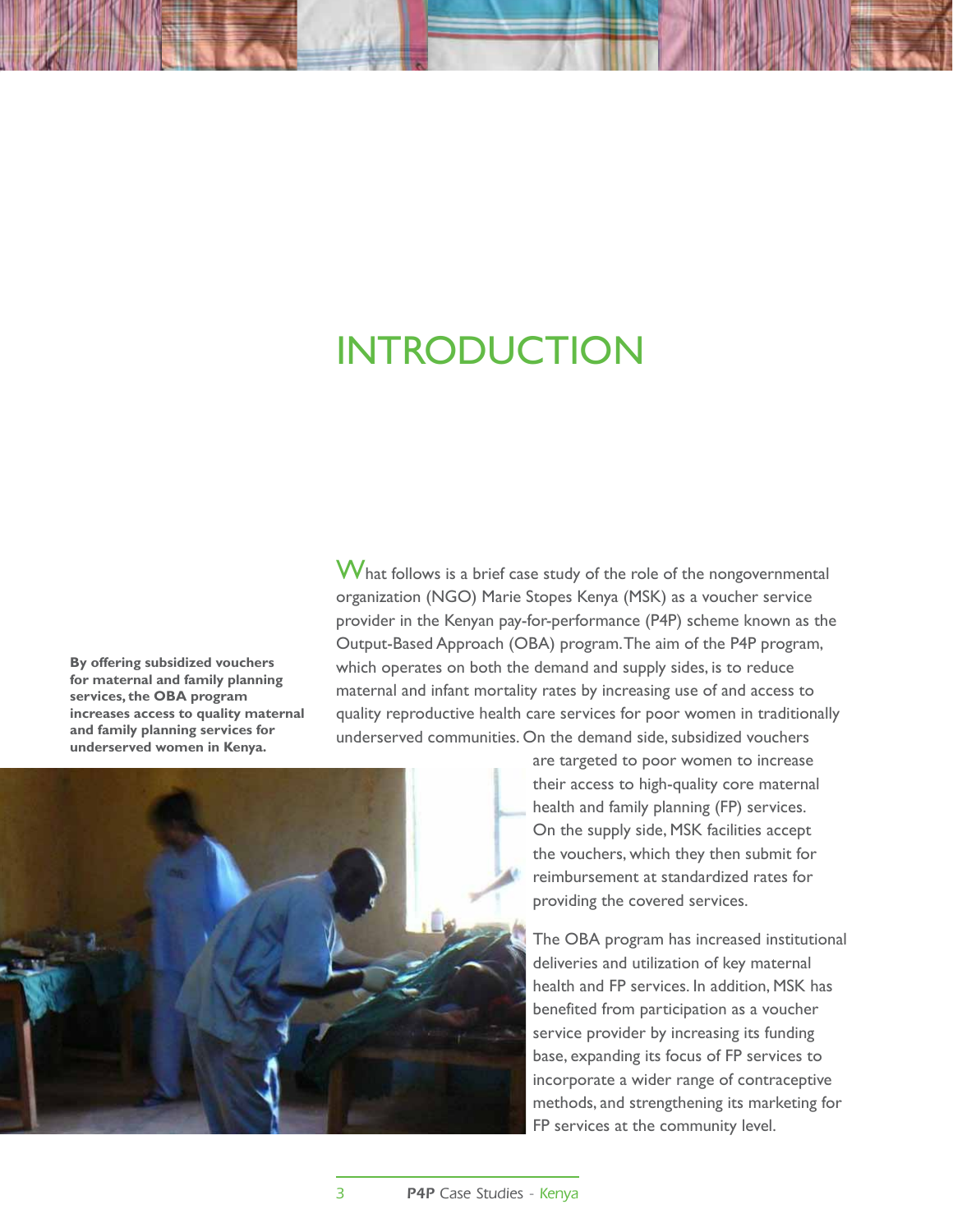# **INTRODUCTION**

**By offering subsidized vouchers for maternal and family planning services, the OBA program increases access to quality maternal and family planning services for underserved women in Kenya.**

What follows is a brief case study of the role of the nongovernmental organization (NGO) Marie Stopes Kenya (MSK) as a voucher service provider in the Kenyan pay-for-performance (P4P) scheme known as the Output-Based Approach (OBA) program. The aim of the P4P program, which operates on both the demand and supply sides, is to reduce maternal and infant mortality rates by increasing use of and access to quality reproductive health care services for poor women in traditionally underserved communities. On the demand side, subsidized vouchers



are targeted to poor women to increase their access to high-quality core maternal health and family planning (FP) services. On the supply side, MSK facilities accept the vouchers, which they then submit for reimbursement at standardized rates for providing the covered services.

The OBA program has increased institutional deliveries and utilization of key maternal health and FP services. In addition, MSK has benefited from participation as a voucher service provider by increasing its funding base, expanding its focus of FP services to incorporate a wider range of contraceptive methods, and strengthening its marketing for FP services at the community level.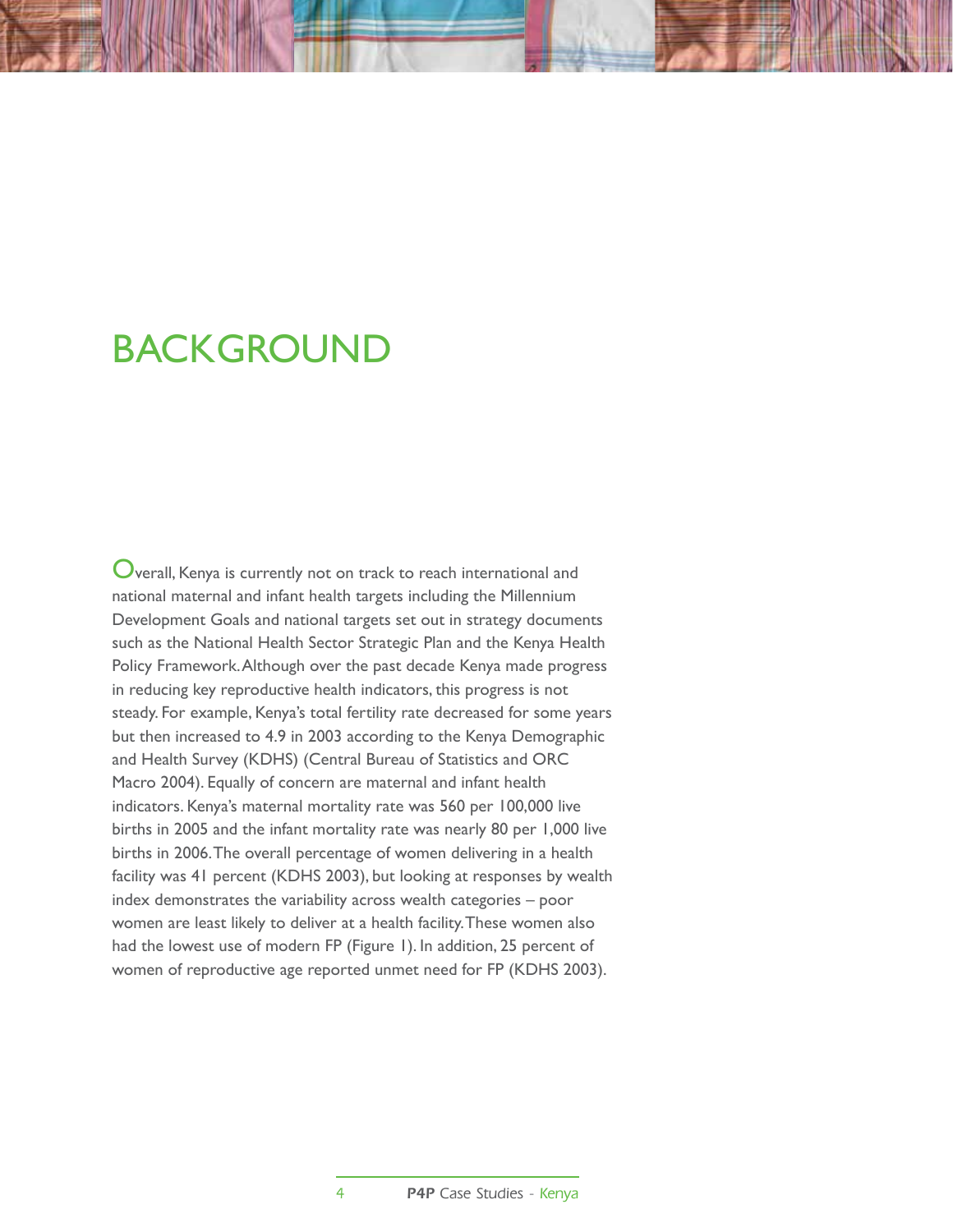## **BACKGROUND**

 $\mathbf 0$ verall, Kenya is currently not on track to reach international and national maternal and infant health targets including the Millennium Development Goals and national targets set out in strategy documents such as the National Health Sector Strategic Plan and the Kenya Health Policy Framework. Although over the past decade Kenya made progress in reducing key reproductive health indicators, this progress is not steady. For example, Kenya's total fertility rate decreased for some years but then increased to 4.9 in 2003 according to the Kenya Demographic and Health Survey (KDHS) (Central Bureau of Statistics and ORC Macro 2004). Equally of concern are maternal and infant health indicators. Kenya's maternal mortality rate was 560 per 100,000 live births in 2005 and the infant mortality rate was nearly 80 per 1,000 live births in 2006. The overall percentage of women delivering in a health facility was 41 percent (KDHS 2003), but looking at responses by wealth index demonstrates the variability across wealth categories – poor women are least likely to deliver at a health facility. These women also had the lowest use of modern FP (Figure 1). In addition, 25 percent of women of reproductive age reported unmet need for FP (KDHS 2003).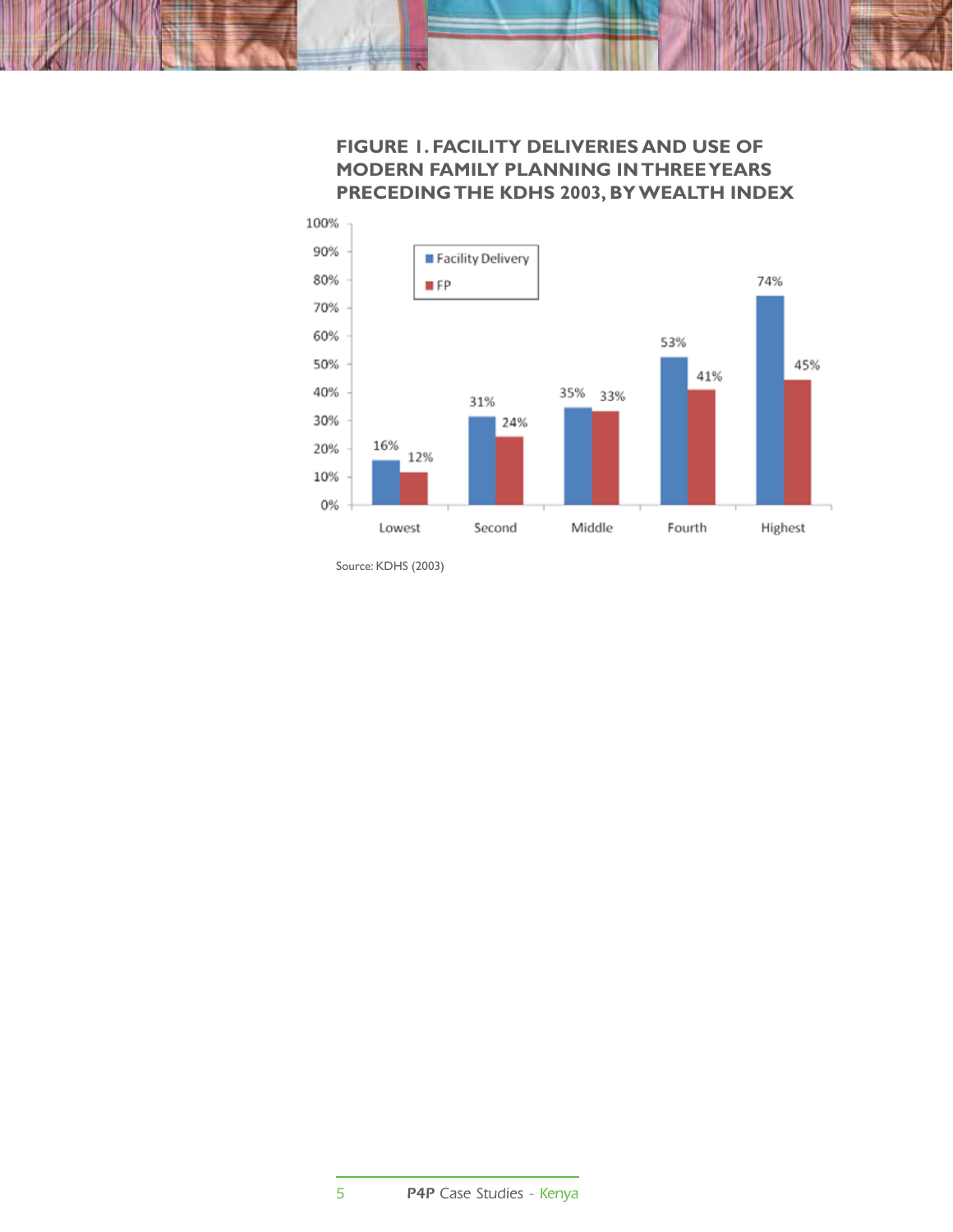### **Figure 1. Facility Deliveries and Use of Modern Family Planning in Three Years Preceding the KDHS 2003, by Wealth Index**



Source: KDHS (2003)

5 P4P Case Studies - Kenya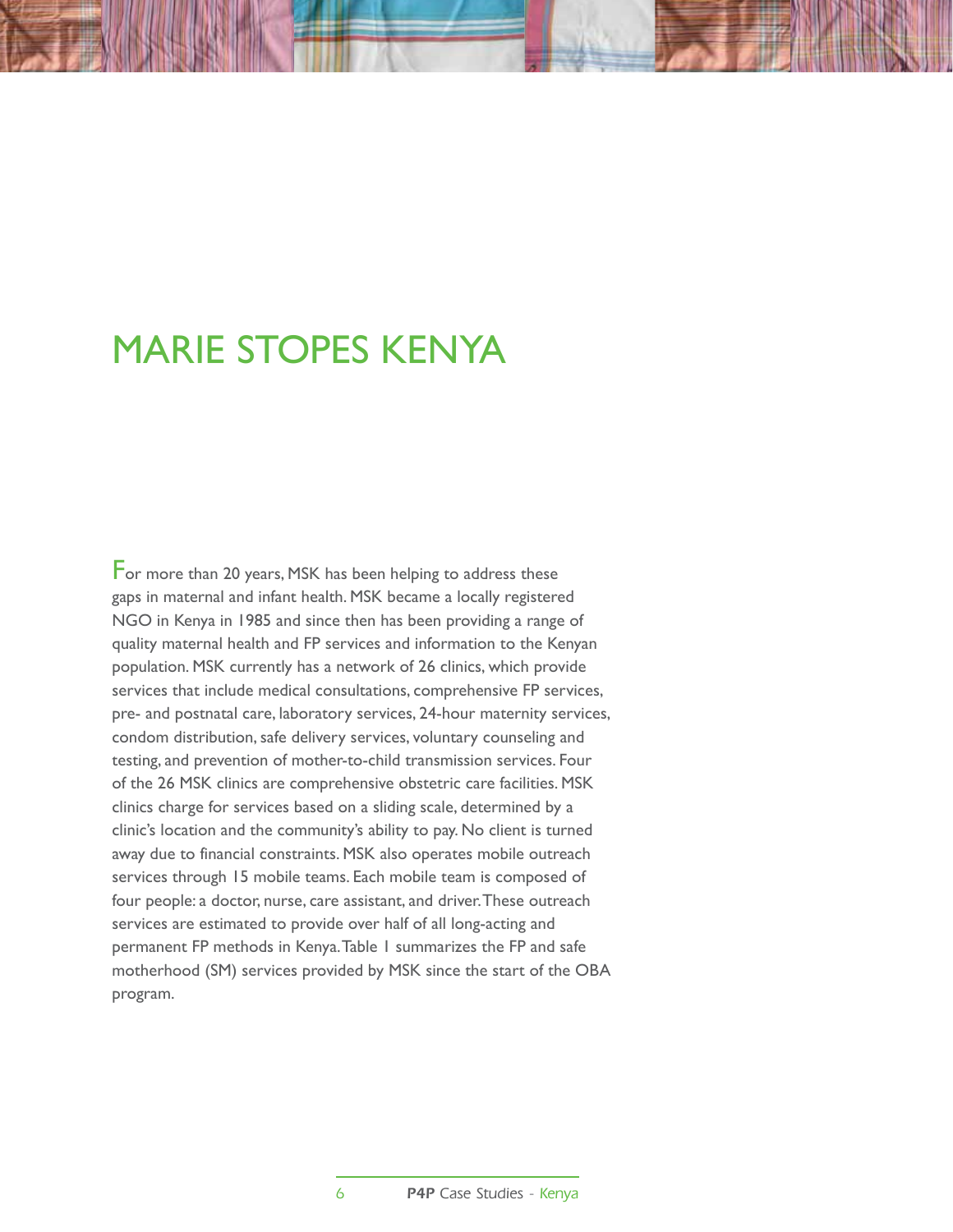## Marie Stopes Kenya

For more than 20 years, MSK has been helping to address these gaps in maternal and infant health. MSK became a locally registered NGO in Kenya in 1985 and since then has been providing a range of quality maternal health and FP services and information to the Kenyan population. MSK currently has a network of 26 clinics, which provide services that include medical consultations, comprehensive FP services, pre- and postnatal care, laboratory services, 24-hour maternity services, condom distribution, safe delivery services, voluntary counseling and testing, and prevention of mother-to-child transmission services. Four of the 26 MSK clinics are comprehensive obstetric care facilities. MSK clinics charge for services based on a sliding scale, determined by a clinic's location and the community's ability to pay. No client is turned away due to financial constraints. MSK also operates mobile outreach services through 15 mobile teams. Each mobile team is composed of four people: a doctor, nurse, care assistant, and driver. These outreach services are estimated to provide over half of all long-acting and permanent FP methods in Kenya. Table 1 summarizes the FP and safe motherhood (SM) services provided by MSK since the start of the OBA program.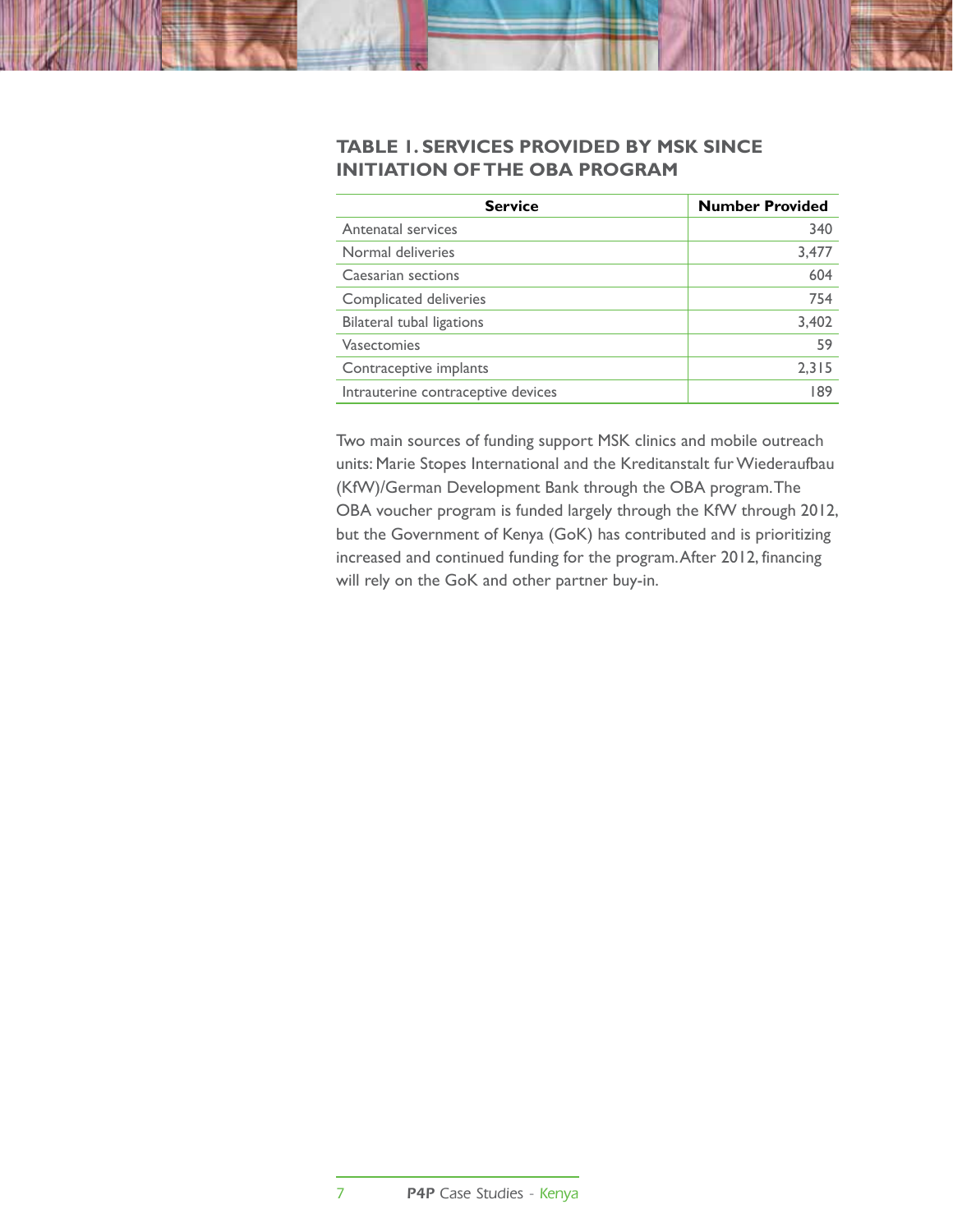#### **Table 1. Services Provided by MSK Since Initiation of the OBA Program**

| <b>Service</b>                     | <b>Number Provided</b> |
|------------------------------------|------------------------|
| Antenatal services                 | 340                    |
| Normal deliveries                  | 3,477                  |
| Caesarian sections                 | 604                    |
| Complicated deliveries             | 754                    |
| Bilateral tubal ligations          | 3,402                  |
| Vasectomies                        | 59                     |
| Contraceptive implants             | 2,315                  |
| Intrauterine contraceptive devices | 189                    |

Two main sources of funding support MSK clinics and mobile outreach units: Marie Stopes International and the Kreditanstalt fur Wiederaufbau (KfW)/German Development Bank through the OBA program. The OBA voucher program is funded largely through the KfW through 2012, but the Government of Kenya (GoK) has contributed and is prioritizing increased and continued funding for the program. After 2012, financing will rely on the GoK and other partner buy-in.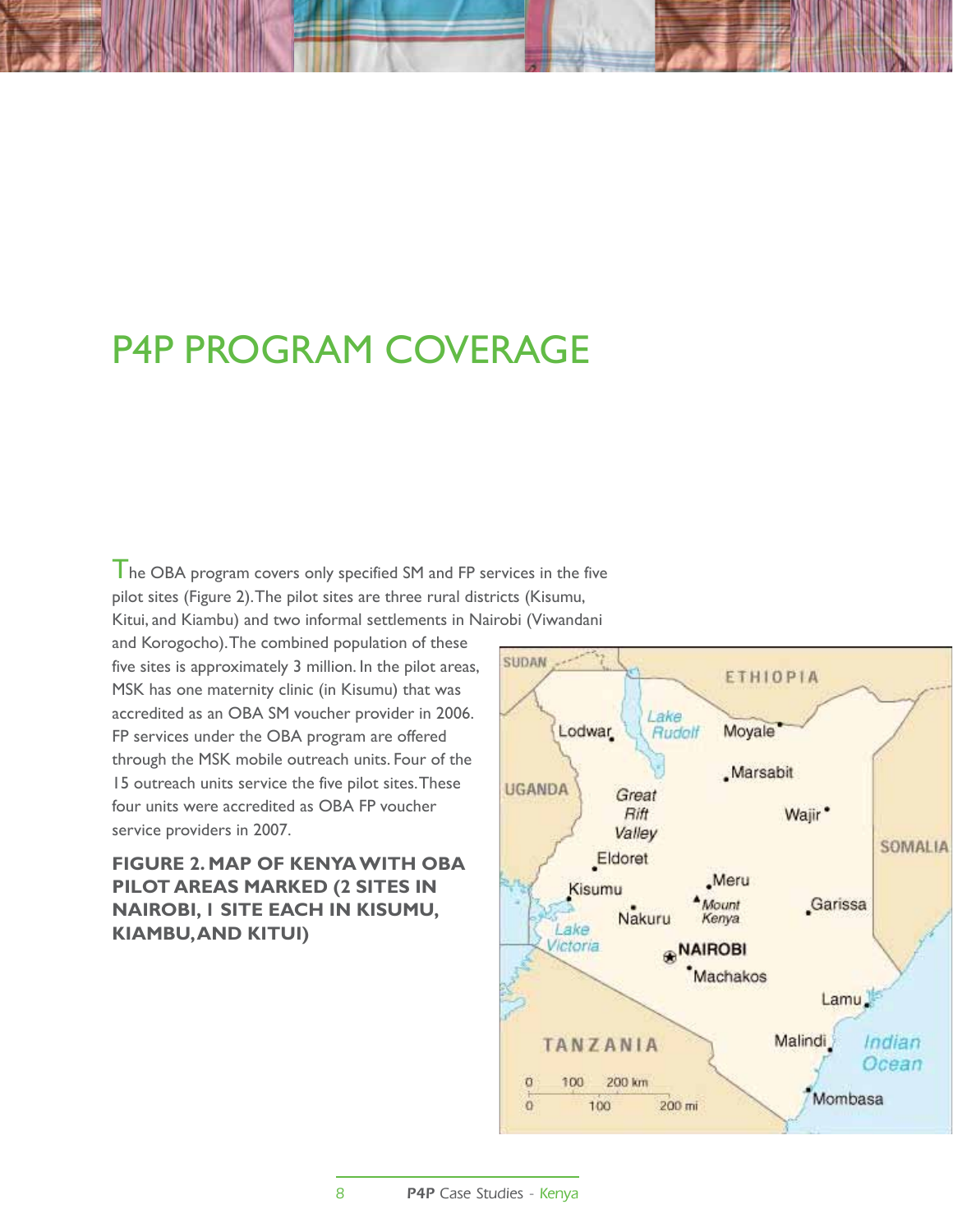## P4P PROGRAM COVERAGE

 $\mathsf I$  he OBA program covers only specified SM and FP services in the five pilot sites (Figure 2). The pilot sites are three rural districts (Kisumu, Kitui, and Kiambu) and two informal settlements in Nairobi (Viwandani

and Korogocho). The combined population of these five sites is approximately 3 million. In the pilot areas, MSK has one maternity clinic (in Kisumu) that was accredited as an OBA SM voucher provider in 2006. FP services under the OBA program are offered through the MSK mobile outreach units. Four of the 15 outreach units service the five pilot sites. These four units were accredited as OBA FP voucher service providers in 2007.

**Figure 2. Map of Kenya with OBA Pilot Areas Marked (2 sites in Nairobi, 1 site each in Kisumu, Kiambu, and Kitui)**

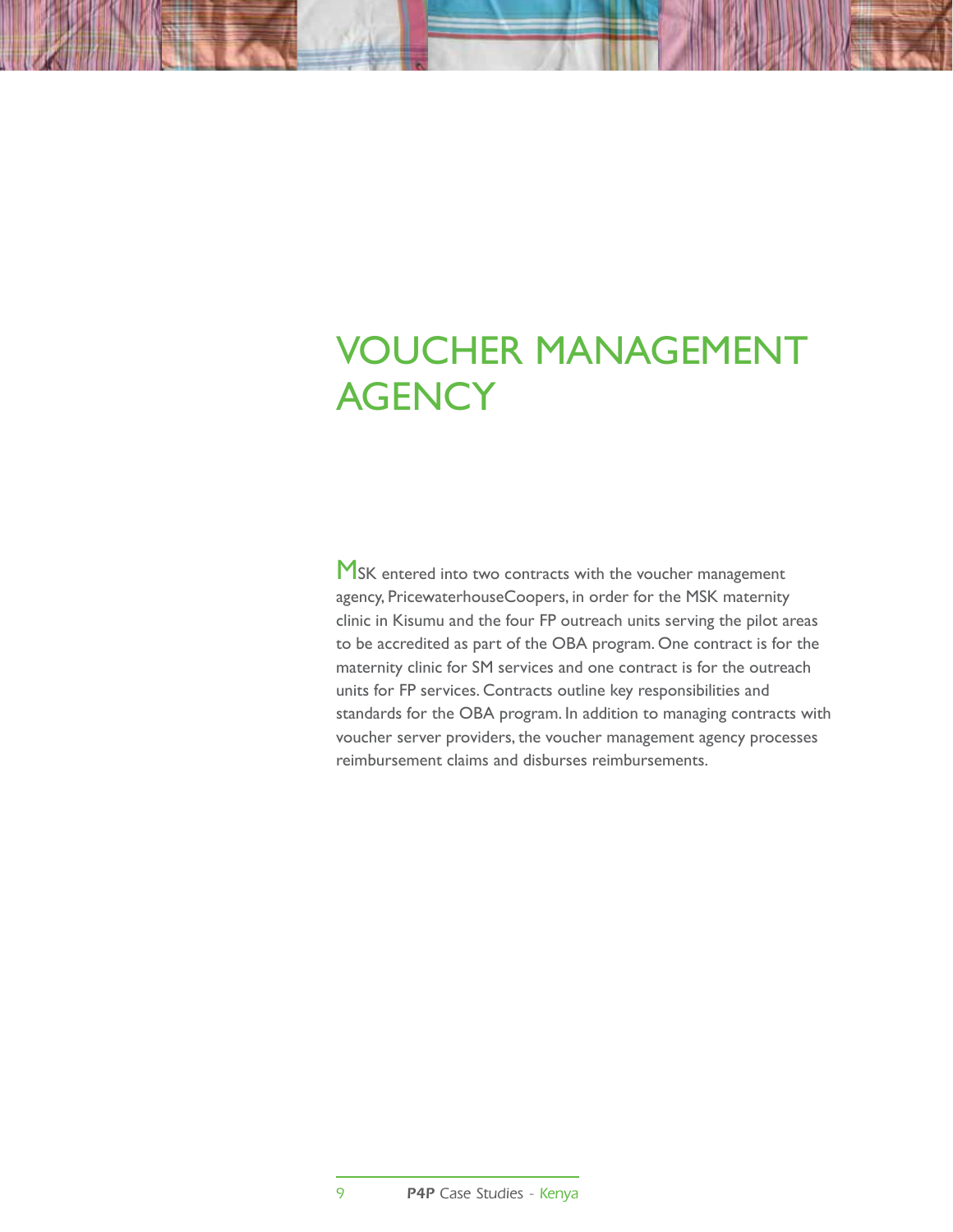# Voucher Management **AGENCY**

MSK entered into two contracts with the voucher management agency, PricewaterhouseCoopers, in order for the MSK maternity clinic in Kisumu and the four FP outreach units serving the pilot areas to be accredited as part of the OBA program. One contract is for the maternity clinic for SM services and one contract is for the outreach units for FP services. Contracts outline key responsibilities and standards for the OBA program. In addition to managing contracts with voucher server providers, the voucher management agency processes reimbursement claims and disburses reimbursements.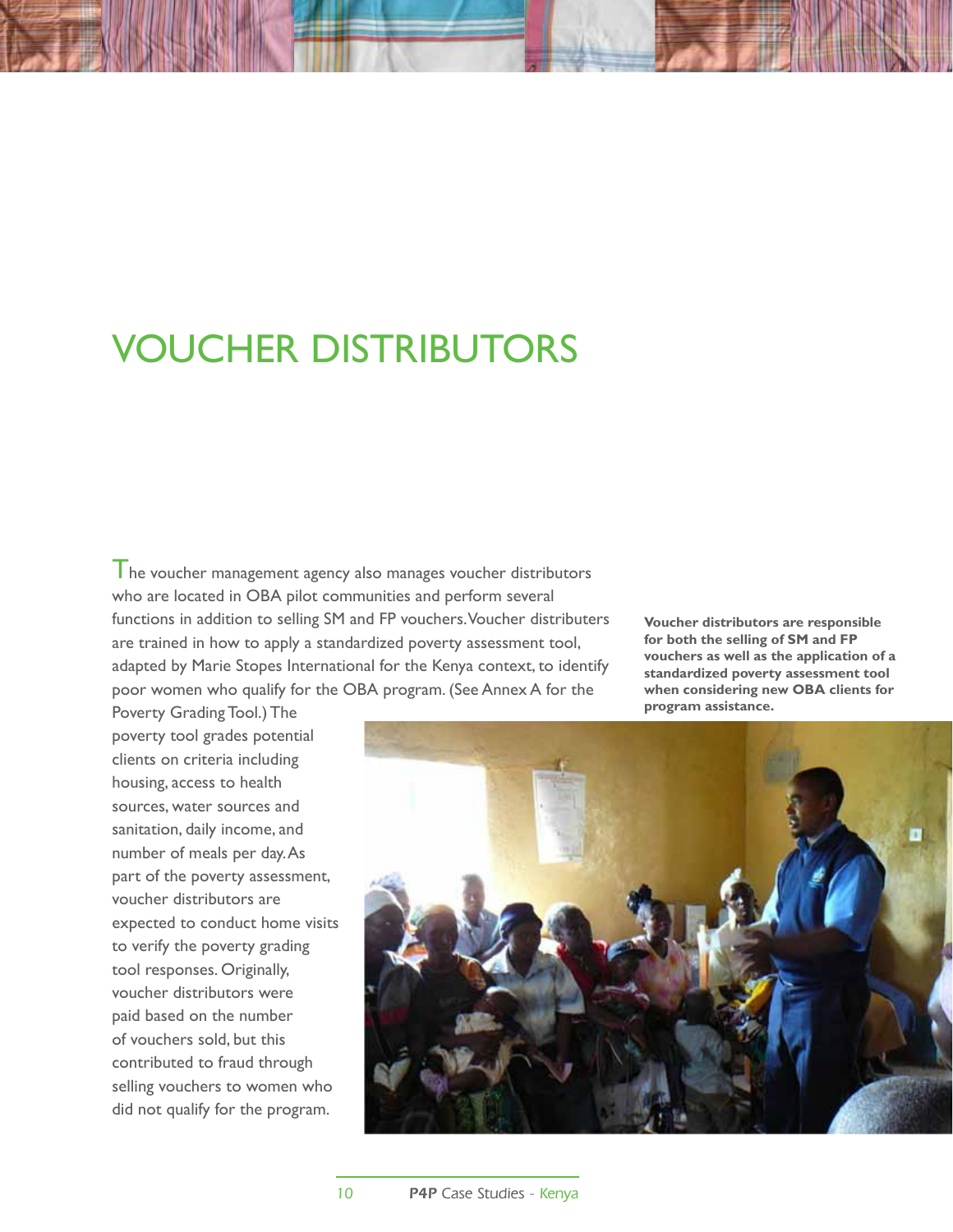## Voucher Distributors

I he voucher management agency also manages voucher distributors who are located in OBA pilot communities and perform several functions in addition to selling SM and FP vouchers. Voucher distributers are trained in how to apply a standardized poverty assessment tool, adapted by Marie Stopes International for the Kenya context, to identify poor women who qualify for the OBA program. (See Annex A for the

**Voucher distributors are responsible for both the selling of SM and FP vouchers as well as the application of a standardized poverty assessment tool when considering new OBA clients for program assistance.**

Poverty Grading Tool.) The poverty tool grades potential clients on criteria including housing, access to health sources, water sources and sanitation, daily income, and number of meals per day. As part of the poverty assessment, voucher distributors are expected to conduct home visits to verify the poverty grading tool responses. Originally, voucher distributors were paid based on the number of vouchers sold, but this contributed to fraud through selling vouchers to women who did not qualify for the program.

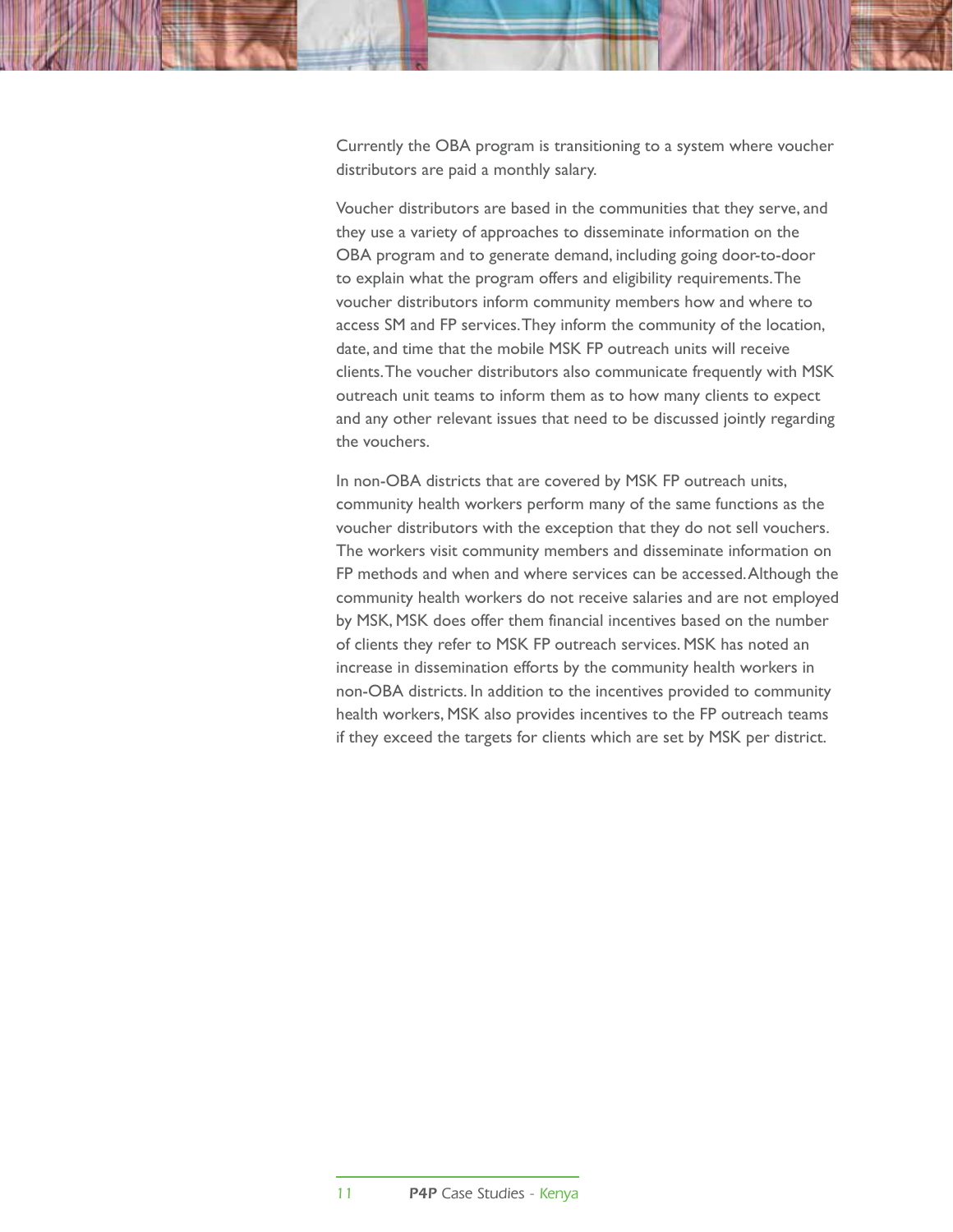Currently the OBA program is transitioning to a system where voucher distributors are paid a monthly salary.

Voucher distributors are based in the communities that they serve, and they use a variety of approaches to disseminate information on the OBA program and to generate demand, including going door-to-door to explain what the program offers and eligibility requirements. The voucher distributors inform community members how and where to access SM and FP services. They inform the community of the location, date, and time that the mobile MSK FP outreach units will receive clients. The voucher distributors also communicate frequently with MSK outreach unit teams to inform them as to how many clients to expect and any other relevant issues that need to be discussed jointly regarding the vouchers.

In non-OBA districts that are covered by MSK FP outreach units, community health workers perform many of the same functions as the voucher distributors with the exception that they do not sell vouchers. The workers visit community members and disseminate information on FP methods and when and where services can be accessed. Although the community health workers do not receive salaries and are not employed by MSK, MSK does offer them financial incentives based on the number of clients they refer to MSK FP outreach services. MSK has noted an increase in dissemination efforts by the community health workers in non-OBA districts. In addition to the incentives provided to community health workers, MSK also provides incentives to the FP outreach teams if they exceed the targets for clients which are set by MSK per district.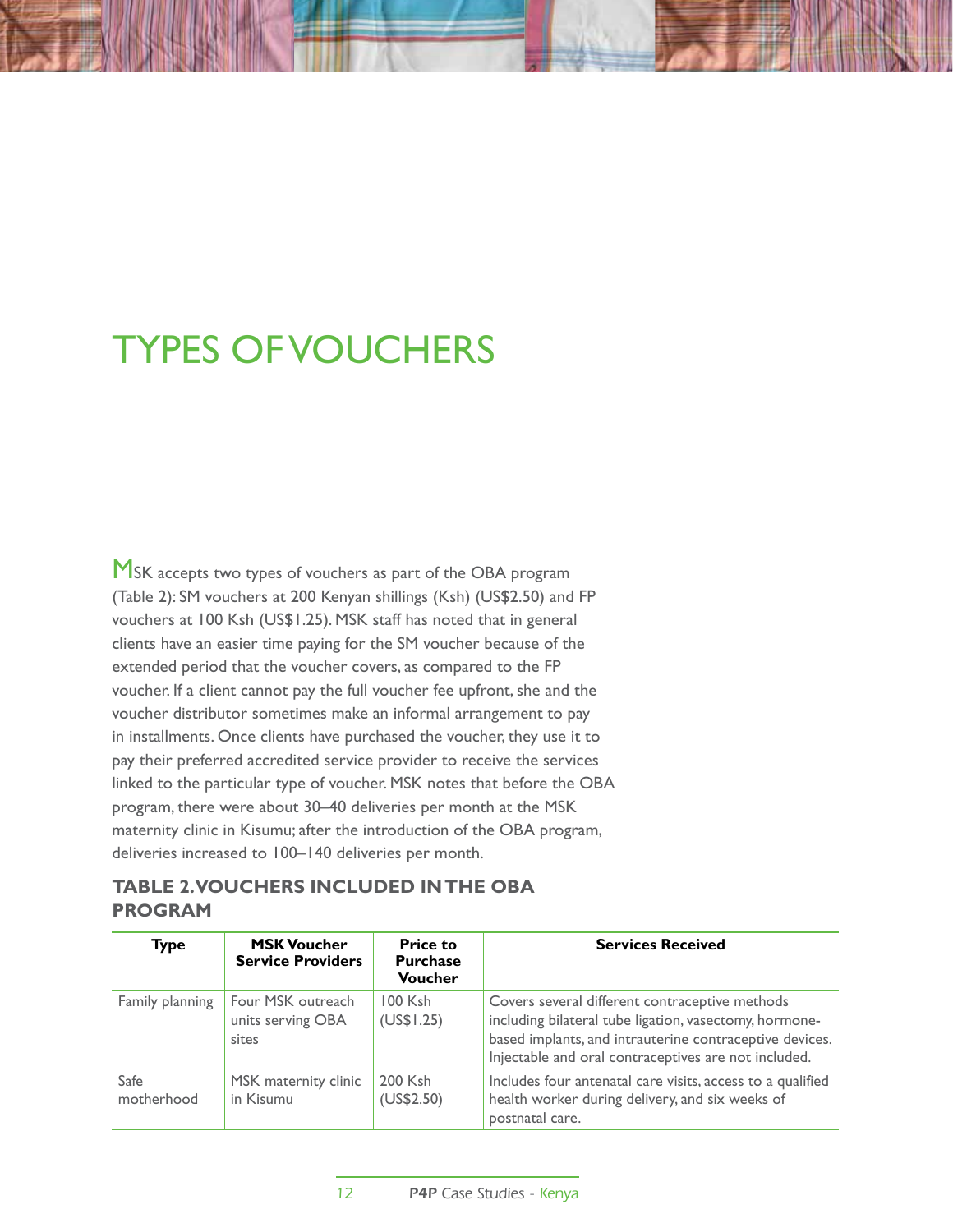# Types of Vouchers

MSK accepts two types of vouchers as part of the OBA program (Table 2): SM vouchers at 200 Kenyan shillings (Ksh) (US\$2.50) and FP vouchers at 100 Ksh (US\$1.25). MSK staff has noted that in general clients have an easier time paying for the SM voucher because of the extended period that the voucher covers, as compared to the FP voucher. If a client cannot pay the full voucher fee upfront, she and the voucher distributor sometimes make an informal arrangement to pay in installments. Once clients have purchased the voucher, they use it to pay their preferred accredited service provider to receive the services linked to the particular type of voucher. MSK notes that before the OBA program, there were about 30–40 deliveries per month at the MSK maternity clinic in Kisumu; after the introduction of the OBA program, deliveries increased to 100–140 deliveries per month.

#### **Table 2. Vouchers Included in the OBA Program**

| <b>Type</b>        | <b>MSK Voucher</b><br><b>Service Providers</b>  | <b>Price to</b><br><b>Purchase</b><br><b>Voucher</b> | <b>Services Received</b>                                                                                                                                                                                                    |
|--------------------|-------------------------------------------------|------------------------------------------------------|-----------------------------------------------------------------------------------------------------------------------------------------------------------------------------------------------------------------------------|
| Family planning    | Four MSK outreach<br>units serving OBA<br>sites | $100$ Ksh<br>(US\$1.25)                              | Covers several different contraceptive methods<br>including bilateral tube ligation, vasectomy, hormone-<br>based implants, and intrauterine contraceptive devices.<br>Injectable and oral contraceptives are not included. |
| Safe<br>motherhood | MSK maternity clinic<br>in Kisumu               | 200 Ksh<br>(US\$2.50)                                | Includes four antenatal care visits, access to a qualified<br>health worker during delivery, and six weeks of<br>postnatal care.                                                                                            |

12 **P4P** Case Studies - Kenya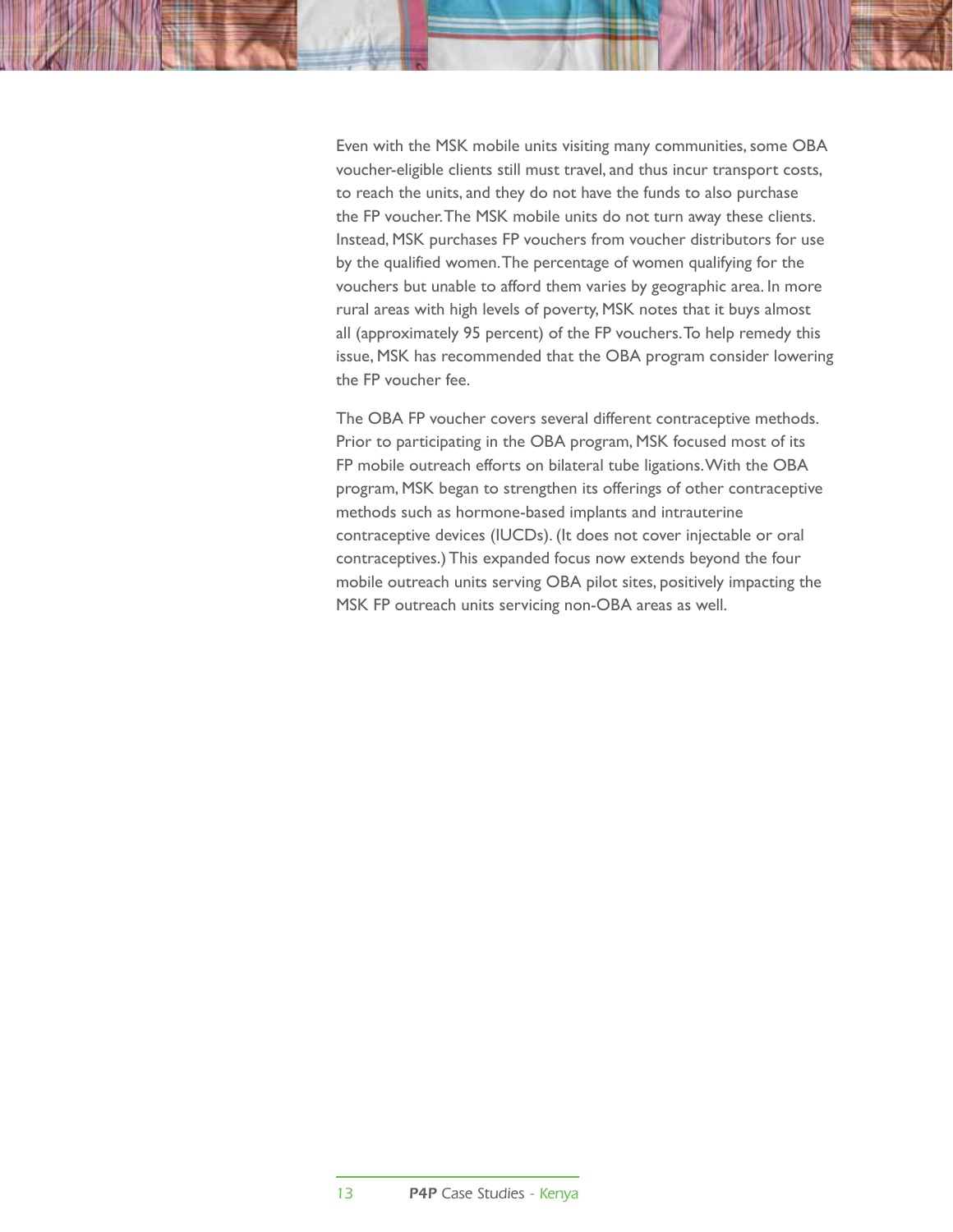Even with the MSK mobile units visiting many communities, some OBA voucher-eligible clients still must travel, and thus incur transport costs, to reach the units, and they do not have the funds to also purchase the FP voucher. The MSK mobile units do not turn away these clients. Instead, MSK purchases FP vouchers from voucher distributors for use by the qualified women. The percentage of women qualifying for the vouchers but unable to afford them varies by geographic area. In more rural areas with high levels of poverty, MSK notes that it buys almost all (approximately 95 percent) of the FP vouchers. To help remedy this issue, MSK has recommended that the OBA program consider lowering the FP voucher fee.

The OBA FP voucher covers several different contraceptive methods. Prior to participating in the OBA program, MSK focused most of its FP mobile outreach efforts on bilateral tube ligations. With the OBA program, MSK began to strengthen its offerings of other contraceptive methods such as hormone-based implants and intrauterine contraceptive devices (IUCDs). (It does not cover injectable or oral contraceptives.) This expanded focus now extends beyond the four mobile outreach units serving OBA pilot sites, positively impacting the MSK FP outreach units servicing non-OBA areas as well.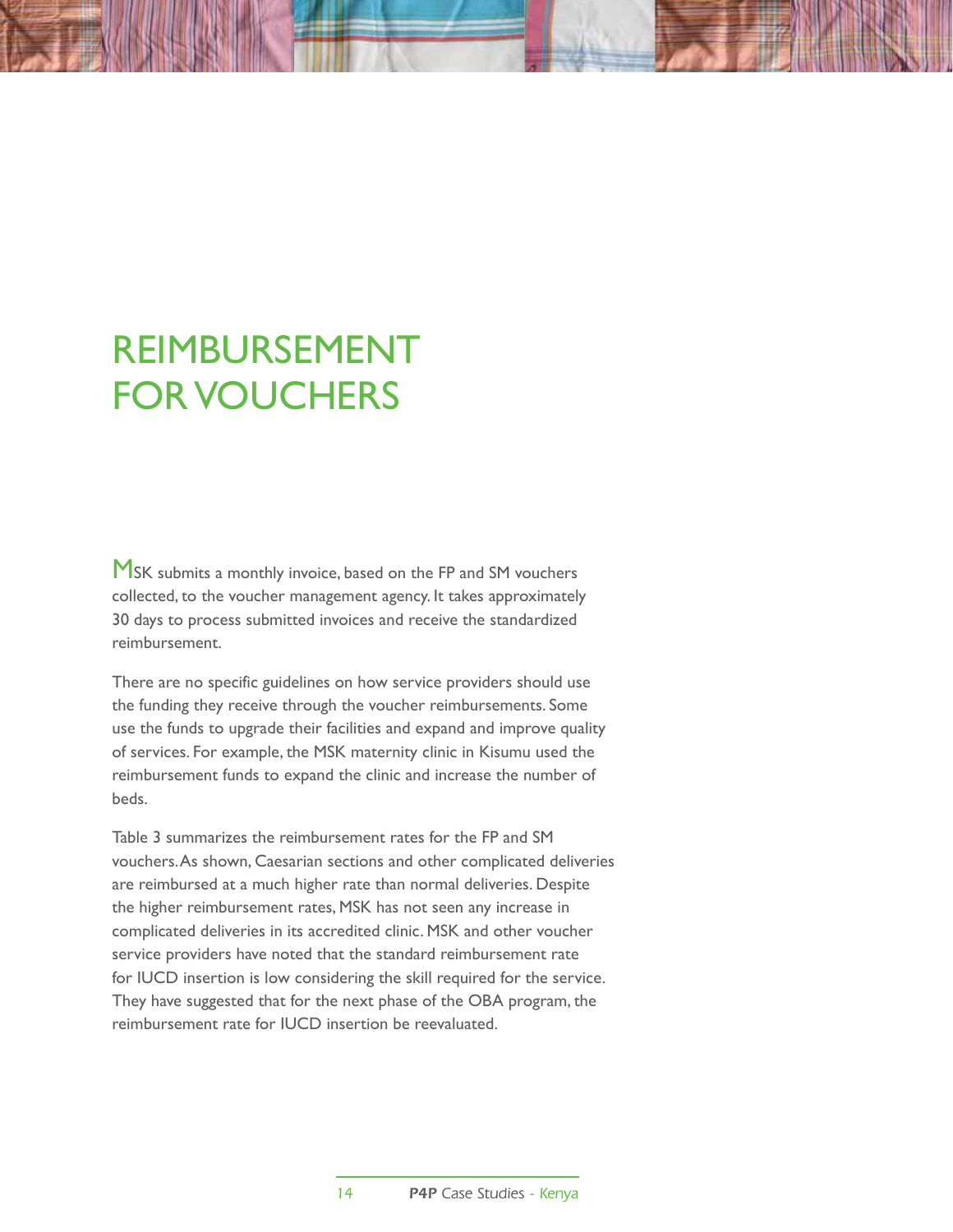## Reimbursement for Vouchers

MSK submits a monthly invoice, based on the FP and SM vouchers collected, to the voucher management agency. It takes approximately 30 days to process submitted invoices and receive the standardized reimbursement.

There are no specific guidelines on how service providers should use the funding they receive through the voucher reimbursements. Some use the funds to upgrade their facilities and expand and improve quality of services. For example, the MSK maternity clinic in Kisumu used the reimbursement funds to expand the clinic and increase the number of beds.

Table 3 summarizes the reimbursement rates for the FP and SM vouchers. As shown, Caesarian sections and other complicated deliveries are reimbursed at a much higher rate than normal deliveries. Despite the higher reimbursement rates, MSK has not seen any increase in complicated deliveries in its accredited clinic. MSK and other voucher service providers have noted that the standard reimbursement rate for IUCD insertion is low considering the skill required for the service. They have suggested that for the next phase of the OBA program, the reimbursement rate for IUCD insertion be reevaluated.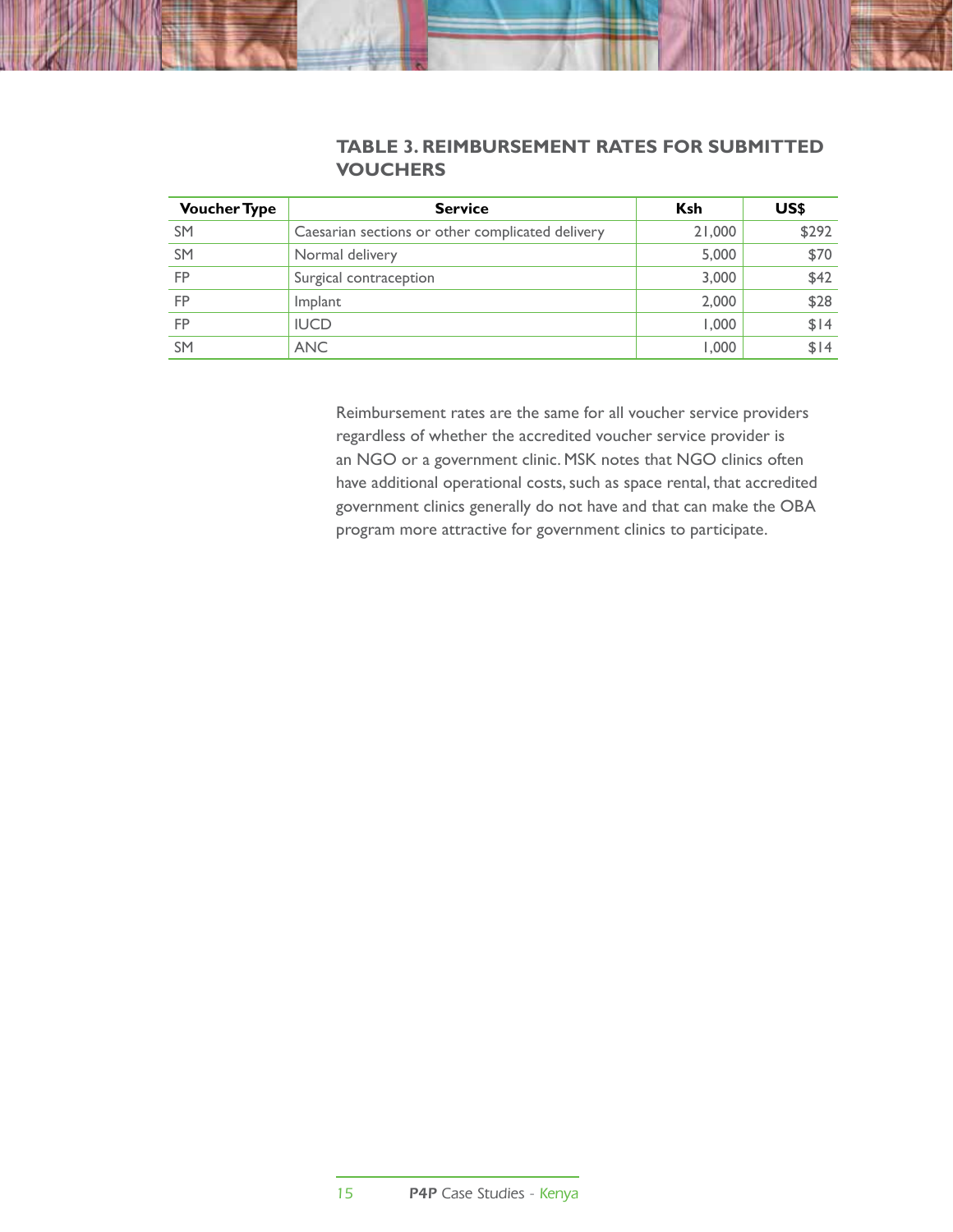#### **Table 3. Reimbursement rates for submitted vouchers**

| <b>Voucher Type</b> | <b>Service</b>                                   | <b>Ksh</b> | US\$  |
|---------------------|--------------------------------------------------|------------|-------|
| <b>SM</b>           | Caesarian sections or other complicated delivery | 21,000     | \$292 |
| <b>SM</b>           | Normal delivery                                  | 5,000      | \$70  |
| <b>FP</b>           | Surgical contraception                           | 3,000      | \$42  |
| <b>FP</b>           | Implant                                          | 2,000      | \$28  |
| <b>FP</b>           | <b>IUCD</b>                                      | 1,000      | \$14  |
| <b>SM</b>           | <b>ANC</b>                                       | 1.000      | \$14  |

Reimbursement rates are the same for all voucher service providers regardless of whether the accredited voucher service provider is an NGO or a government clinic. MSK notes that NGO clinics often have additional operational costs, such as space rental, that accredited government clinics generally do not have and that can make the OBA program more attractive for government clinics to participate.